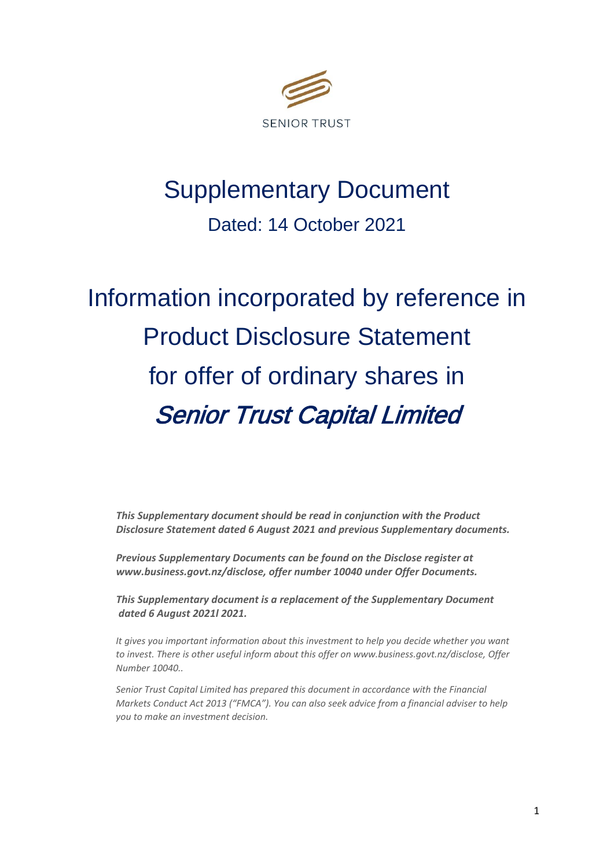

## Supplementary Document

Dated: 14 October 2021

# Information incorporated by reference in Product Disclosure Statement for offer of ordinary shares in Senior Trust Capital Limited

*This Supplementary document should be read in conjunction with the Product Disclosure Statement dated 6 August 2021 and previous Supplementary documents.* 

*Previous Supplementary Documents can be found on the Disclose register at www.business.govt.nz/disclose, offer number 10040 under Offer Documents.* 

*This Supplementary document is a replacement of the Supplementary Document dated 6 August 2021l 2021.*

*It gives you important information about this investment to help you decide whether you want to invest. There is other useful inform about this offer on www.business.govt.nz/disclose, Offer Number 10040..* 

*Senior Trust Capital Limited has prepared this document in accordance with the Financial Markets Conduct Act 2013 ("FMCA"). You can also seek advice from a financial adviser to help you to make an investment decision.*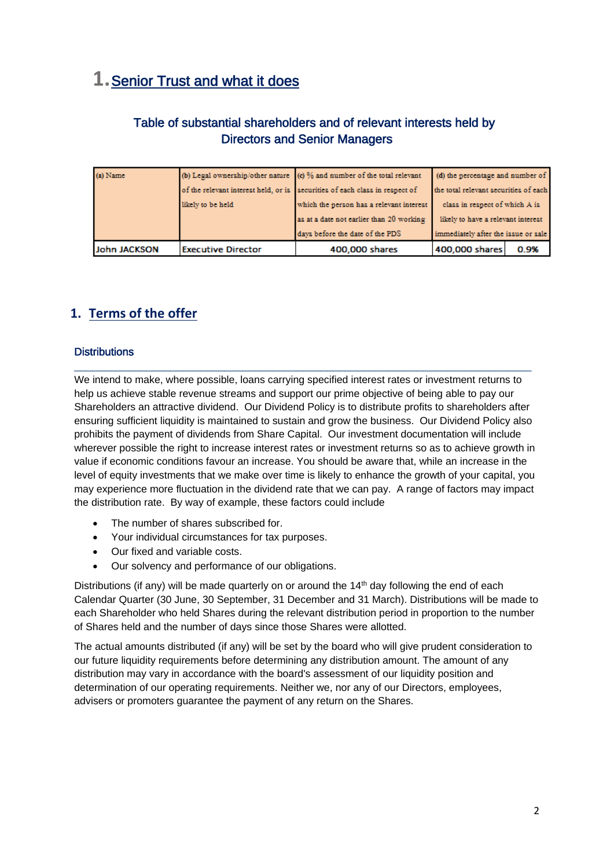## **1.** Senior Trust and what it does

#### Table of substantial shareholders and of relevant interests held by Directors and Senior Managers

| <b>John JACKSON</b> | <b>Executive Director</b> | 400,000 shares                                                              | 400,000 shares<br>0.9%                                               |  |
|---------------------|---------------------------|-----------------------------------------------------------------------------|----------------------------------------------------------------------|--|
|                     |                           | days before the date of the PDS                                             | immediately after the issue or sale                                  |  |
|                     |                           | as at a date not earlier than 20 working                                    | class in respect of which A is<br>likely to have a relevant interest |  |
|                     | likely to be held.        | which the person has a relevant interest                                    |                                                                      |  |
|                     |                           | of the relevant interest held, or is securities of each class in respect of | the total relevant securities of each                                |  |
| (a) Name            |                           | (b) Legal ownership/other nature (c) % and number of the total relevant     | (d) the percentage and number of                                     |  |

### **1. Terms of the offer**

#### **Distributions**

We intend to make, where possible, loans carrying specified interest rates or investment returns to help us achieve stable revenue streams and support our prime objective of being able to pay our Shareholders an attractive dividend. Our Dividend Policy is to distribute profits to shareholders after ensuring sufficient liquidity is maintained to sustain and grow the business. Our Dividend Policy also prohibits the payment of dividends from Share Capital. Our investment documentation will include wherever possible the right to increase interest rates or investment returns so as to achieve growth in value if economic conditions favour an increase. You should be aware that, while an increase in the level of equity investments that we make over time is likely to enhance the growth of your capital, you may experience more fluctuation in the dividend rate that we can pay. A range of factors may impact the distribution rate. By way of example, these factors could include

\_\_\_\_\_\_\_\_\_\_\_\_\_\_\_\_\_\_\_\_\_\_\_\_\_\_\_\_\_\_\_\_\_\_\_\_\_\_\_\_\_\_\_\_\_\_\_\_\_\_\_\_\_\_\_\_\_\_\_\_\_\_\_\_\_\_\_\_\_\_\_\_\_\_\_\_

- The number of shares subscribed for.
- Your individual circumstances for tax purposes.
- Our fixed and variable costs.
- Our solvency and performance of our obligations.

Distributions (if any) will be made quarterly on or around the  $14<sup>th</sup>$  day following the end of each Calendar Quarter (30 June, 30 September, 31 December and 31 March). Distributions will be made to each Shareholder who held Shares during the relevant distribution period in proportion to the number of Shares held and the number of days since those Shares were allotted.

The actual amounts distributed (if any) will be set by the board who will give prudent consideration to our future liquidity requirements before determining any distribution amount. The amount of any distribution may vary in accordance with the board's assessment of our liquidity position and determination of our operating requirements. Neither we, nor any of our Directors, employees, advisers or promoters guarantee the payment of any return on the Shares.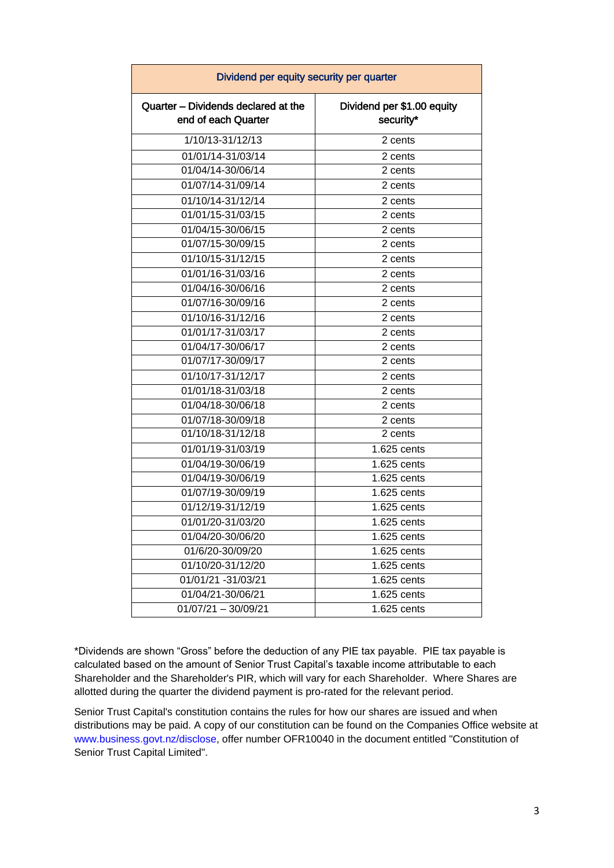| Dividend per equity security per quarter                   |                                         |  |  |  |
|------------------------------------------------------------|-----------------------------------------|--|--|--|
| Quarter - Dividends declared at the<br>end of each Quarter | Dividend per \$1.00 equity<br>security* |  |  |  |
| 1/10/13-31/12/13                                           | 2 cents                                 |  |  |  |
| 01/01/14-31/03/14                                          | 2 cents                                 |  |  |  |
| 01/04/14-30/06/14                                          | 2 cents                                 |  |  |  |
| 01/07/14-31/09/14                                          | 2 cents                                 |  |  |  |
| $\overline{01/10/14}$ -31/12/14                            | 2 cents                                 |  |  |  |
| 01/01/15-31/03/15                                          | 2 cents                                 |  |  |  |
| 01/04/15-30/06/15                                          | 2 cents                                 |  |  |  |
| 01/07/15-30/09/15                                          | 2 cents                                 |  |  |  |
| 01/10/15-31/12/15                                          | 2 cents                                 |  |  |  |
| 01/01/16-31/03/16                                          | 2 cents                                 |  |  |  |
| 01/04/16-30/06/16                                          | 2 cents                                 |  |  |  |
| 01/07/16-30/09/16                                          | 2 cents                                 |  |  |  |
| 01/10/16-31/12/16                                          | 2 cents                                 |  |  |  |
| 01/01/17-31/03/17                                          | 2 cents                                 |  |  |  |
| 01/04/17-30/06/17                                          | 2 cents                                 |  |  |  |
| 01/07/17-30/09/17                                          | 2 cents                                 |  |  |  |
| 01/10/17-31/12/17                                          | 2 cents                                 |  |  |  |
| 01/01/18-31/03/18                                          | 2 cents                                 |  |  |  |
| 01/04/18-30/06/18                                          | 2 cents                                 |  |  |  |
| 01/07/18-30/09/18                                          | 2 cents                                 |  |  |  |
| 01/10/18-31/12/18                                          | 2 cents                                 |  |  |  |
| 01/01/19-31/03/19                                          | 1.625 cents                             |  |  |  |
| 01/04/19-30/06/19                                          | 1.625 cents                             |  |  |  |
| 01/04/19-30/06/19                                          | 1.625 cents                             |  |  |  |
| 01/07/19-30/09/19                                          | 1.625 cents                             |  |  |  |
| 01/12/19-31/12/19                                          | 1.625 cents                             |  |  |  |
| 01/01/20-31/03/20                                          | 1.625 cents                             |  |  |  |
| 01/04/20-30/06/20                                          | 1.625 cents                             |  |  |  |
| 01/6/20-30/09/20                                           | 1.625 cents                             |  |  |  |
| 01/10/20-31/12/20                                          | 1.625 cents                             |  |  |  |
| 01/01/21 -31/03/21                                         | 1.625 cents                             |  |  |  |
| 01/04/21-30/06/21                                          | 1.625 cents                             |  |  |  |
| $01/07/21 - 30/09/21$                                      | 1.625 cents                             |  |  |  |

\*Dividends are shown "Gross" before the deduction of any PIE tax payable. PIE tax payable is calculated based on the amount of Senior Trust Capital's taxable income attributable to each Shareholder and the Shareholder's PIR, which will vary for each Shareholder. Where Shares are allotted during the quarter the dividend payment is pro-rated for the relevant period.

Senior Trust Capital's constitution contains the rules for how our shares are issued and when distributions may be paid. A copy of our constitution can be found on the Companies Office website at [www.business.govt.nz/disclose,](http://www.business.govt.nz/disclose) offer number OFR10040 in the document entitled "Constitution of Senior Trust Capital Limited".